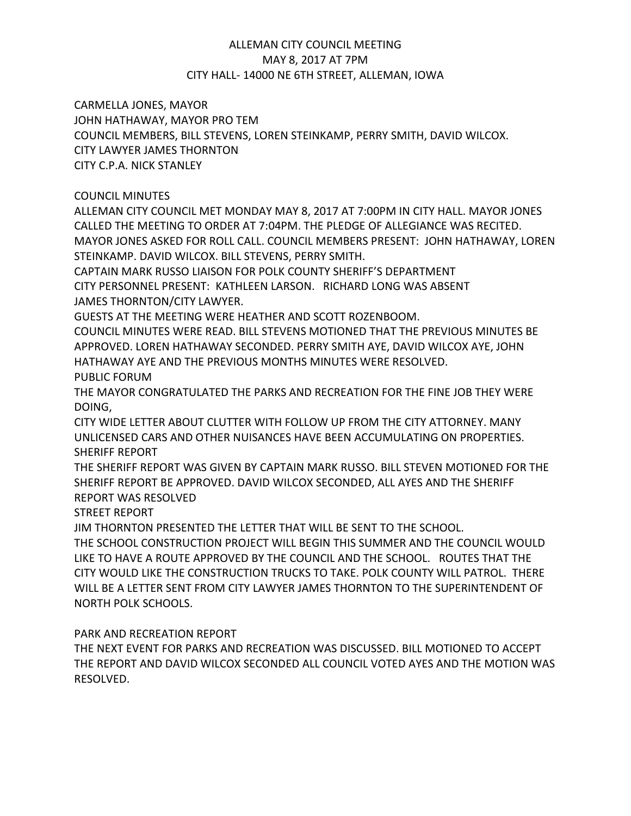# ALLEMAN CITY COUNCIL MEETING MAY 8, 2017 AT 7PM CITY HALL- 14000 NE 6TH STREET, ALLEMAN, IOWA

CARMELLA JONES, MAYOR

JOHN HATHAWAY, MAYOR PRO TEM

COUNCIL MEMBERS, BILL STEVENS, LOREN STEINKAMP, PERRY SMITH, DAVID WILCOX.

CITY LAWYER JAMES THORNTON

CITY C.P.A. NICK STANLEY

# COUNCIL MINUTES

ALLEMAN CITY COUNCIL MET MONDAY MAY 8, 2017 AT 7:00PM IN CITY HALL. MAYOR JONES CALLED THE MEETING TO ORDER AT 7:04PM. THE PLEDGE OF ALLEGIANCE WAS RECITED. MAYOR JONES ASKED FOR ROLL CALL. COUNCIL MEMBERS PRESENT: JOHN HATHAWAY, LOREN STEINKAMP. DAVID WILCOX. BILL STEVENS, PERRY SMITH.

CAPTAIN MARK RUSSO LIAISON FOR POLK COUNTY SHERIFF'S DEPARTMENT CITY PERSONNEL PRESENT: KATHLEEN LARSON. RICHARD LONG WAS ABSENT JAMES THORNTON/CITY LAWYER.

GUESTS AT THE MEETING WERE HEATHER AND SCOTT ROZENBOOM.

COUNCIL MINUTES WERE READ. BILL STEVENS MOTIONED THAT THE PREVIOUS MINUTES BE APPROVED. LOREN HATHAWAY SECONDED. PERRY SMITH AYE, DAVID WILCOX AYE, JOHN HATHAWAY AYE AND THE PREVIOUS MONTHS MINUTES WERE RESOLVED.

PUBLIC FORUM

THE MAYOR CONGRATULATED THE PARKS AND RECREATION FOR THE FINE JOB THEY WERE DOING,

CITY WIDE LETTER ABOUT CLUTTER WITH FOLLOW UP FROM THE CITY ATTORNEY. MANY UNLICENSED CARS AND OTHER NUISANCES HAVE BEEN ACCUMULATING ON PROPERTIES. SHERIFF REPORT

THE SHERIFF REPORT WAS GIVEN BY CAPTAIN MARK RUSSO. BILL STEVEN MOTIONED FOR THE SHERIFF REPORT BE APPROVED. DAVID WILCOX SECONDED, ALL AYES AND THE SHERIFF REPORT WAS RESOLVED

STREET REPORT

JIM THORNTON PRESENTED THE LETTER THAT WILL BE SENT TO THE SCHOOL.

THE SCHOOL CONSTRUCTION PROJECT WILL BEGIN THIS SUMMER AND THE COUNCIL WOULD LIKE TO HAVE A ROUTE APPROVED BY THE COUNCIL AND THE SCHOOL. ROUTES THAT THE CITY WOULD LIKE THE CONSTRUCTION TRUCKS TO TAKE. POLK COUNTY WILL PATROL. THERE WILL BE A LETTER SENT FROM CITY LAWYER JAMES THORNTON TO THE SUPERINTENDENT OF NORTH POLK SCHOOLS.

PARK AND RECREATION REPORT

THE NEXT EVENT FOR PARKS AND RECREATION WAS DISCUSSED. BILL MOTIONED TO ACCEPT THE REPORT AND DAVID WILCOX SECONDED ALL COUNCIL VOTED AYES AND THE MOTION WAS RESOLVED.